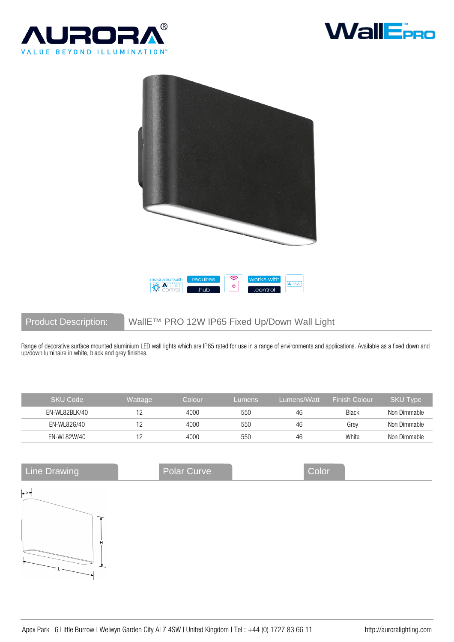





## Product Description: WallE™ PRO 12W IP65 Fixed Up/Down Wall Light

Range of decorative surface mounted aluminium LED wall lights which are IP65 rated for use in a range of environments and applications. Available as a fixed down and up/down luminaire in white, black and grey finishes.

| <b>SKU Code</b> | Wattage | Colour | Lumens | Lumens/Watt | <b>Finish Colour</b> | <b>SKU Type</b> |
|-----------------|---------|--------|--------|-------------|----------------------|-----------------|
| EN-WL82BLK/40   |         | 4000   | 550    | 46          | Black                | Non Dimmable    |
| EN-WL82G/40     |         | 4000   | 550    | 46          | Grev                 | Non Dimmable    |
| EN-WL82W/40     |         | 4000   | 550    | 46          | White                | Non Dimmable    |

| <b>Line Drawing</b>           | Polar Curve | Color |  |
|-------------------------------|-------------|-------|--|
| $\left  \bullet \right $      |             |       |  |
| $\overbrace{\phantom{13721}}$ |             |       |  |